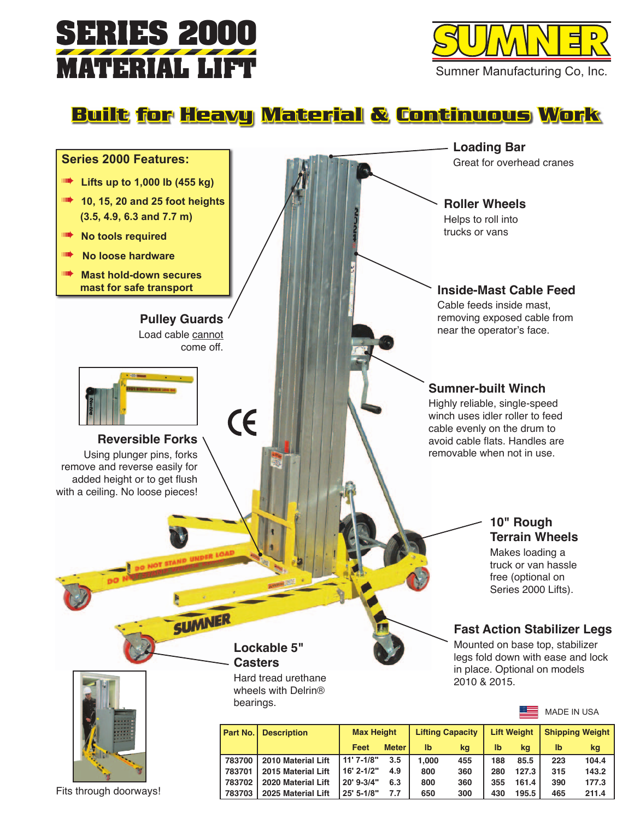



**Built for Heavy Material & Continuous Work**